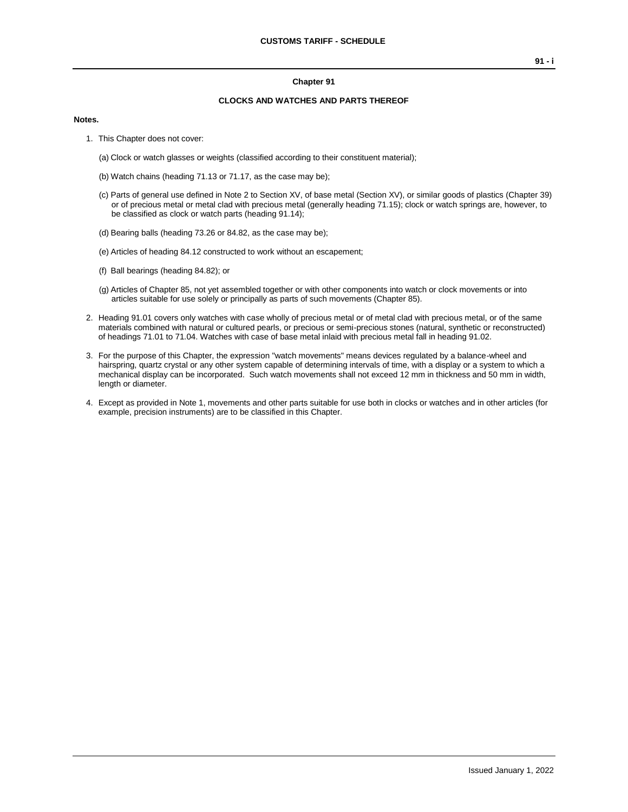## **Chapter 91**

## **CLOCKS AND WATCHES AND PARTS THEREOF**

## **Notes.**

- 1. This Chapter does not cover:
	- (a) Clock or watch glasses or weights (classified according to their constituent material);
	- (b) Watch chains (heading 71.13 or 71.17, as the case may be);
	- (c) Parts of general use defined in Note 2 to Section XV, of base metal (Section XV), or similar goods of plastics (Chapter 39) or of precious metal or metal clad with precious metal (generally heading 71.15); clock or watch springs are, however, to be classified as clock or watch parts (heading 91.14);
	- (d) Bearing balls (heading 73.26 or 84.82, as the case may be);
	- (e) Articles of heading 84.12 constructed to work without an escapement;
	- (f) Ball bearings (heading 84.82); or
	- (g) Articles of Chapter 85, not yet assembled together or with other components into watch or clock movements or into articles suitable for use solely or principally as parts of such movements (Chapter 85).
- 2. Heading 91.01 covers only watches with case wholly of precious metal or of metal clad with precious metal, or of the same materials combined with natural or cultured pearls, or precious or semi-precious stones (natural, synthetic or reconstructed) of headings 71.01 to 71.04. Watches with case of base metal inlaid with precious metal fall in heading 91.02.
- 3. For the purpose of this Chapter, the expression "watch movements" means devices regulated by a balance-wheel and hairspring, quartz crystal or any other system capable of determining intervals of time, with a display or a system to which a mechanical display can be incorporated. Such watch movements shall not exceed 12 mm in thickness and 50 mm in width, length or diameter.
- 4. Except as provided in Note 1, movements and other parts suitable for use both in clocks or watches and in other articles (for example, precision instruments) are to be classified in this Chapter.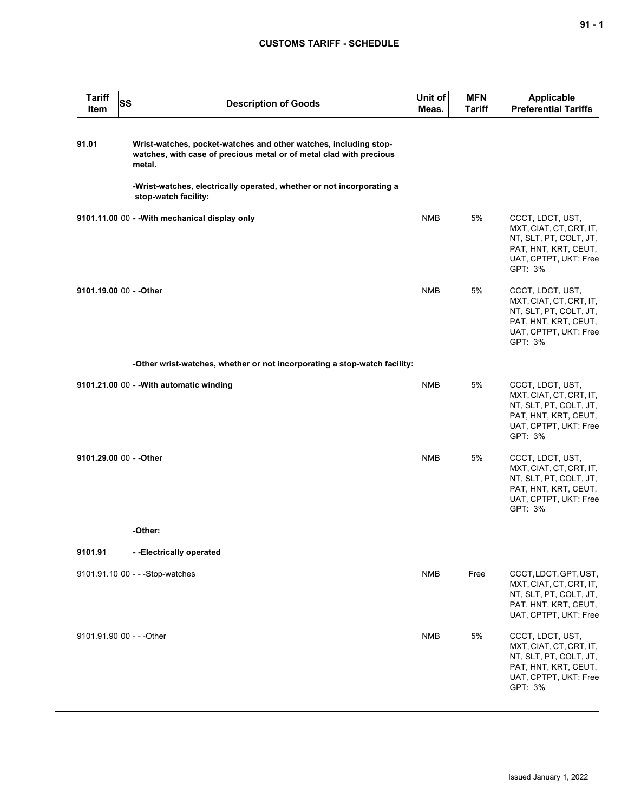## **CUSTOMS TARIFF - SCHEDULE**

| <b>Tariff</b><br>Item     | SS | <b>Description of Goods</b>                                                                                                                       | Unit of<br>Meas. | <b>MFN</b><br><b>Tariff</b> | <b>Applicable</b><br><b>Preferential Tariffs</b>                                                                                  |
|---------------------------|----|---------------------------------------------------------------------------------------------------------------------------------------------------|------------------|-----------------------------|-----------------------------------------------------------------------------------------------------------------------------------|
| 91.01                     |    | Wrist-watches, pocket-watches and other watches, including stop-<br>watches, with case of precious metal or of metal clad with precious<br>metal. |                  |                             |                                                                                                                                   |
|                           |    | -Wrist-watches, electrically operated, whether or not incorporating a<br>stop-watch facility:                                                     |                  |                             |                                                                                                                                   |
|                           |    | 9101.11.00 00 - - With mechanical display only                                                                                                    | <b>NMB</b>       | 5%                          | CCCT, LDCT, UST,<br>MXT, CIAT, CT, CRT, IT,<br>NT, SLT, PT, COLT, JT,<br>PAT, HNT, KRT, CEUT,<br>UAT, CPTPT, UKT: Free<br>GPT: 3% |
| 9101.19.00 00 - - Other   |    |                                                                                                                                                   | <b>NMB</b>       | 5%                          | CCCT, LDCT, UST,<br>MXT, CIAT, CT, CRT, IT,<br>NT, SLT, PT, COLT, JT,<br>PAT, HNT, KRT, CEUT,<br>UAT, CPTPT, UKT: Free<br>GPT: 3% |
|                           |    | -Other wrist-watches, whether or not incorporating a stop-watch facility:                                                                         |                  |                             |                                                                                                                                   |
|                           |    | 9101.21.00 00 - - With automatic winding                                                                                                          | <b>NMB</b>       | 5%                          | CCCT, LDCT, UST,<br>MXT, CIAT, CT, CRT, IT,<br>NT, SLT, PT, COLT, JT,<br>PAT, HNT, KRT, CEUT,<br>UAT, CPTPT, UKT: Free<br>GPT: 3% |
| 9101.29.00 00 - - Other   |    |                                                                                                                                                   | <b>NMB</b>       | 5%                          | CCCT, LDCT, UST,<br>MXT, CIAT, CT, CRT, IT,<br>NT, SLT, PT, COLT, JT,<br>PAT, HNT, KRT, CEUT,<br>UAT, CPTPT, UKT: Free<br>GPT: 3% |
|                           |    | -Other:                                                                                                                                           |                  |                             |                                                                                                                                   |
| 9101.91                   |    | --Electrically operated                                                                                                                           |                  |                             |                                                                                                                                   |
|                           |    | 9101.91.10 00 - - - Stop-watches                                                                                                                  | <b>NMB</b>       | Free                        | CCCT, LDCT, GPT, UST,<br>MXT, CIAT, CT, CRT, IT,<br>NT, SLT, PT, COLT, JT,<br>PAT, HNT, KRT, CEUT,<br>UAT, CPTPT, UKT: Free       |
| 9101.91.90 00 - - - Other |    |                                                                                                                                                   | <b>NMB</b>       | $5\%$                       | CCCT, LDCT, UST,<br>MXT, CIAT, CT, CRT, IT,<br>NT, SLT, PT, COLT, JT,<br>PAT, HNT, KRT, CEUT,<br>UAT, CPTPT, UKT: Free<br>GPT: 3% |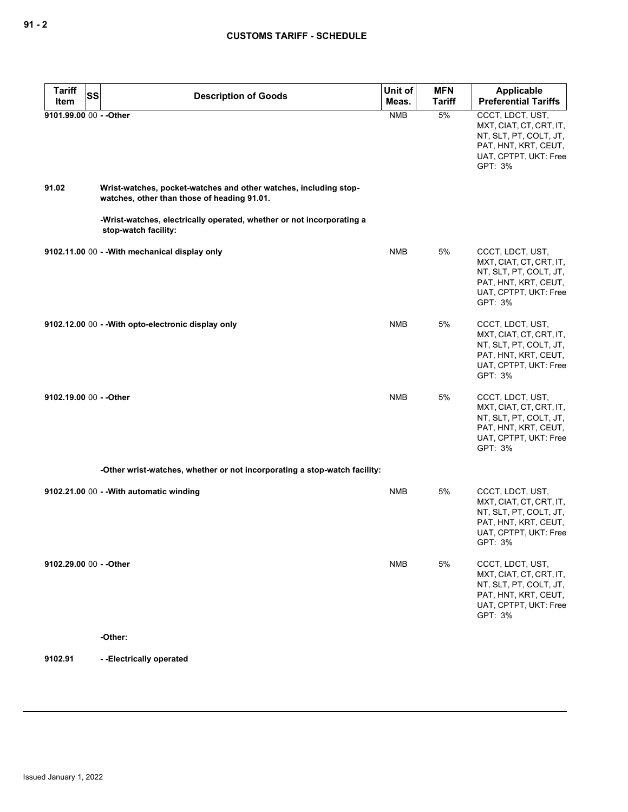| <b>Tariff</b><br><b>SS</b> | <b>Description of Goods</b>                                                                                     | Unit of    | <b>MFN</b>    | Applicable                                                                                                                        |
|----------------------------|-----------------------------------------------------------------------------------------------------------------|------------|---------------|-----------------------------------------------------------------------------------------------------------------------------------|
| Item                       |                                                                                                                 | Meas.      | <b>Tariff</b> | <b>Preferential Tariffs</b>                                                                                                       |
| 9101.99.00 00 - - Other    |                                                                                                                 | <b>NMB</b> | 5%            | CCCT, LDCT, UST,<br>MXT, CIAT, CT, CRT, IT,<br>NT, SLT, PT, COLT, JT,<br>PAT, HNT, KRT, CEUT,<br>UAT, CPTPT, UKT: Free<br>GPT: 3% |
| 91.02                      | Wrist-watches, pocket-watches and other watches, including stop-<br>watches, other than those of heading 91.01. |            |               |                                                                                                                                   |
|                            | -Wrist-watches, electrically operated, whether or not incorporating a<br>stop-watch facility:                   |            |               |                                                                                                                                   |
|                            | 9102.11.00 00 - - With mechanical display only                                                                  | <b>NMB</b> | 5%            | CCCT, LDCT, UST,<br>MXT, CIAT, CT, CRT, IT,<br>NT, SLT, PT, COLT, JT,<br>PAT, HNT, KRT, CEUT,<br>UAT, CPTPT, UKT: Free<br>GPT: 3% |
|                            | 9102.12.00 00 - - With opto-electronic display only                                                             | <b>NMB</b> | 5%            | CCCT, LDCT, UST,<br>MXT, CIAT, CT, CRT, IT,<br>NT, SLT, PT, COLT, JT,<br>PAT, HNT, KRT, CEUT,<br>UAT, CPTPT, UKT: Free<br>GPT: 3% |
| 9102.19.00 00 - - Other    |                                                                                                                 | <b>NMB</b> | 5%            | CCCT, LDCT, UST,<br>MXT, CIAT, CT, CRT, IT,<br>NT, SLT, PT, COLT, JT,<br>PAT, HNT, KRT, CEUT,<br>UAT, CPTPT, UKT: Free<br>GPT: 3% |
|                            | -Other wrist-watches, whether or not incorporating a stop-watch facility:                                       |            |               |                                                                                                                                   |
|                            | 9102.21.00 00 - - With automatic winding                                                                        | <b>NMB</b> | 5%            | CCCT, LDCT, UST,<br>MXT, CIAT, CT, CRT, IT,<br>NT, SLT, PT, COLT, JT,<br>PAT, HNT, KRT, CEUT,<br>UAT, CPTPT, UKT: Free<br>GPT: 3% |
| 9102.29.00 00 - - Other    |                                                                                                                 | <b>NMB</b> | 5%            | CCCT, LDCT, UST,<br>MXT, CIAT, CT, CRT, IT,<br>NT, SLT, PT, COLT, JT,<br>PAT, HNT, KRT, CEUT,<br>UAT, CPTPT, UKT: Free<br>GPT: 3% |
|                            | -Other:                                                                                                         |            |               |                                                                                                                                   |
| 9102.91                    | --Electrically operated                                                                                         |            |               |                                                                                                                                   |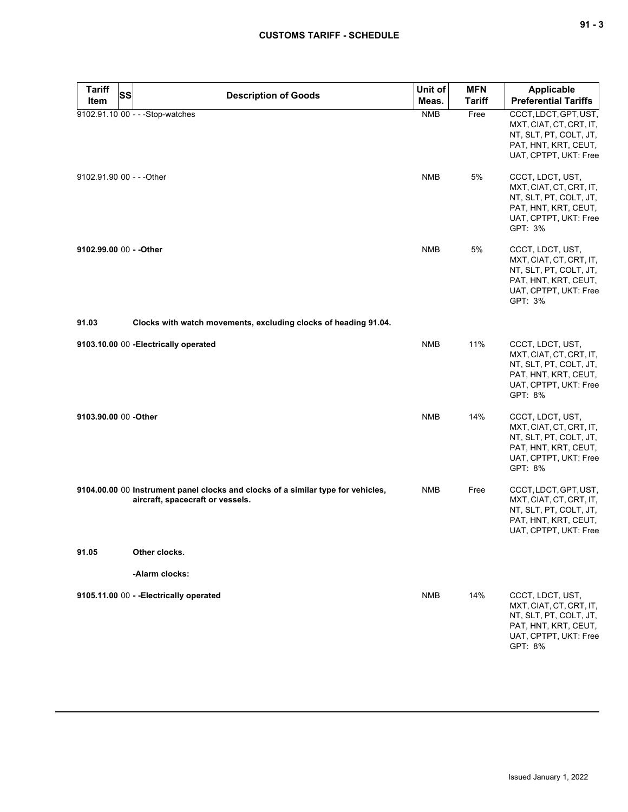| ×<br>۰. | v<br>۰. |
|---------|---------|
|---------|---------|

| <b>Tariff</b><br><b>Item</b> | <b>SS</b><br><b>Description of Goods</b>                                                                             | Unit of<br>Meas. | <b>MFN</b><br><b>Tariff</b> | <b>Applicable</b><br><b>Preferential Tariffs</b>                                                                                  |
|------------------------------|----------------------------------------------------------------------------------------------------------------------|------------------|-----------------------------|-----------------------------------------------------------------------------------------------------------------------------------|
|                              | 9102.91.10 00 - - - Stop-watches                                                                                     | <b>NMB</b>       | Free                        | CCCT, LDCT, GPT, UST,<br>MXT, CIAT, CT, CRT, IT,<br>NT, SLT, PT, COLT, JT,<br>PAT, HNT, KRT, CEUT,<br>UAT, CPTPT, UKT: Free       |
| 9102.91.90 00 - - - Other    |                                                                                                                      | <b>NMB</b>       | 5%                          | CCCT, LDCT, UST,<br>MXT, CIAT, CT, CRT, IT,<br>NT, SLT, PT, COLT, JT,<br>PAT, HNT, KRT, CEUT,<br>UAT, CPTPT, UKT: Free<br>GPT: 3% |
| 9102.99.00 00 - - Other      |                                                                                                                      | <b>NMB</b>       | 5%                          | CCCT, LDCT, UST,<br>MXT, CIAT, CT, CRT, IT,<br>NT, SLT, PT, COLT, JT,<br>PAT, HNT, KRT, CEUT,<br>UAT, CPTPT, UKT: Free<br>GPT: 3% |
| 91.03                        | Clocks with watch movements, excluding clocks of heading 91.04.                                                      |                  |                             |                                                                                                                                   |
|                              | 9103.10.00 00 - Electrically operated                                                                                | <b>NMB</b>       | 11%                         | CCCT, LDCT, UST,<br>MXT, CIAT, CT, CRT, IT,<br>NT, SLT, PT, COLT, JT,<br>PAT, HNT, KRT, CEUT,<br>UAT, CPTPT, UKT: Free<br>GPT: 8% |
| 9103.90.00 00 -Other         |                                                                                                                      | <b>NMB</b>       | 14%                         | CCCT, LDCT, UST,<br>MXT, CIAT, CT, CRT, IT,<br>NT, SLT, PT, COLT, JT,<br>PAT, HNT, KRT, CEUT,<br>UAT, CPTPT, UKT: Free<br>GPT: 8% |
|                              | 9104.00.00 00 Instrument panel clocks and clocks of a similar type for vehicles,<br>aircraft, spacecraft or vessels. | <b>NMB</b>       | Free                        | CCCT, LDCT, GPT, UST,<br>MXT, CIAT, CT, CRT, IT,<br>NT, SLT, PT, COLT, JT,<br>PAT, HNT, KRT, CEUT,<br>UAT, CPTPT, UKT: Free       |
| 91.05                        | Other clocks.                                                                                                        |                  |                             |                                                                                                                                   |
|                              | -Alarm clocks:                                                                                                       |                  |                             |                                                                                                                                   |
|                              | 9105.11.00 00 - - Electrically operated                                                                              | <b>NMB</b>       | 14%                         | CCCT, LDCT, UST,<br>MXT, CIAT, CT, CRT, IT,<br>NT, SLT, PT, COLT, JT,<br>PAT, HNT, KRT, CEUT,<br>UAT, CPTPT, UKT: Free<br>GPT: 8% |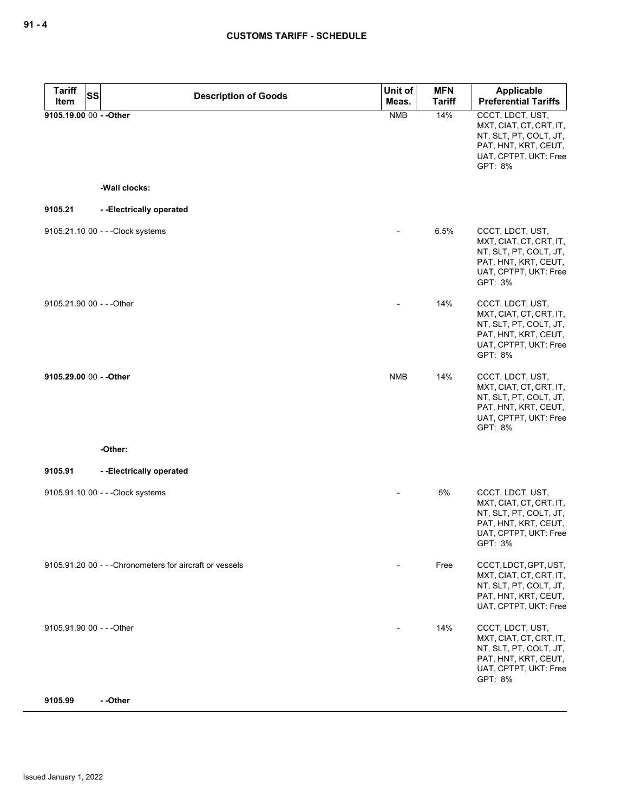| <b>Tariff</b><br><b>SS</b><br>Item | <b>Description of Goods</b>                              | Unit of<br>Meas. | MFN<br><b>Tariff</b> | <b>Applicable</b><br><b>Preferential Tariffs</b>                                                                                     |
|------------------------------------|----------------------------------------------------------|------------------|----------------------|--------------------------------------------------------------------------------------------------------------------------------------|
| 9105.19.00 00 - - Other            |                                                          | <b>NMB</b>       | 14%                  | CCCT, LDCT, UST,<br>MXT, CIAT, CT, CRT, IT,<br>NT, SLT, PT, COLT, JT,<br>PAT, HNT, KRT, CEUT,<br>UAT, CPTPT, UKT: Free<br>GPT: 8%    |
|                                    | -Wall clocks:                                            |                  |                      |                                                                                                                                      |
| 9105.21                            | --Electrically operated                                  |                  |                      |                                                                                                                                      |
|                                    | 9105.21.10 00 - - - Clock systems                        |                  | 6.5%                 | CCCT, LDCT, UST,<br>MXT, CIAT, CT, CRT, IT,<br>NT, SLT, PT, COLT, JT,<br>PAT, HNT, KRT, CEUT,<br>UAT, CPTPT, UKT: Free<br>GPT: 3%    |
| 9105.21.90 00 - - - Other          |                                                          |                  | 14%                  | CCCT, LDCT, UST,<br>MXT, CIAT, CT, CRT, IT,<br>NT, SLT, PT, COLT, JT,<br>PAT, HNT, KRT, CEUT,<br>UAT, CPTPT, UKT: Free<br>GPT: 8%    |
| 9105.29.00 00 - - Other            |                                                          | <b>NMB</b>       | 14%                  | CCCT, LDCT, UST,<br>MXT, CIAT, CT, CRT, IT,<br>NT, SLT, PT, COLT, JT,<br>PAT, HNT, KRT, CEUT,<br>UAT, CPTPT, UKT: Free<br>GPT: 8%    |
|                                    | -Other:                                                  |                  |                      |                                                                                                                                      |
| 9105.91                            | --Electrically operated                                  |                  |                      |                                                                                                                                      |
|                                    | 9105.91.10 00 - - - Clock systems                        |                  | 5%                   | CCCT, LDCT, UST,<br>MXT, CIAT, CT, CRT, IT,<br>NT, SLT, PT, COLT, JT,<br>PAT, HNT, KRT, CEUT,<br>UAT, CPTPT, UKT: Free<br>$GPI: 3\%$ |
|                                    | 9105.91.20 00 - - - Chronometers for aircraft or vessels |                  | Free                 | CCCT, LDCT, GPT, UST,<br>MXT, CIAT, CT, CRT, IT,<br>NT, SLT, PT, COLT, JT,<br>PAT, HNT, KRT, CEUT,<br>UAT, CPTPT, UKT: Free          |
| 9105.91.90 00 - - - Other          |                                                          |                  | 14%                  | CCCT, LDCT, UST,<br>MXT, CIAT, CT, CRT, IT,<br>NT, SLT, PT, COLT, JT,<br>PAT, HNT, KRT, CEUT,<br>UAT, CPTPT, UKT: Free<br>GPT: 8%    |
| 9105.99                            | --Other                                                  |                  |                      |                                                                                                                                      |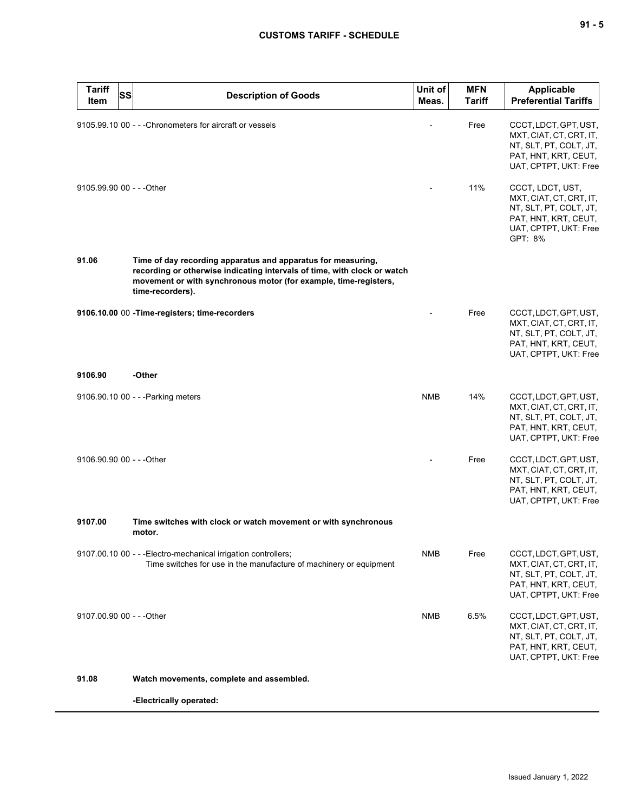| ×<br>۰. |  | ×<br>۰. |
|---------|--|---------|
|---------|--|---------|

| <b>Tariff</b><br><b>SS</b><br>Item | <b>Description of Goods</b>                                                                                                                                                                                                      | Unit of<br>Meas. | <b>MFN</b><br><b>Tariff</b> | <b>Applicable</b><br><b>Preferential Tariffs</b>                                                                                  |
|------------------------------------|----------------------------------------------------------------------------------------------------------------------------------------------------------------------------------------------------------------------------------|------------------|-----------------------------|-----------------------------------------------------------------------------------------------------------------------------------|
|                                    | 9105.99.10 00 - - - Chronometers for aircraft or vessels                                                                                                                                                                         |                  | Free                        | CCCT, LDCT, GPT, UST,<br>MXT, CIAT, CT, CRT, IT,<br>NT, SLT, PT, COLT, JT,<br>PAT, HNT, KRT, CEUT,<br>UAT, CPTPT, UKT: Free       |
| 9105.99.90 00 - - - Other          |                                                                                                                                                                                                                                  |                  | 11%                         | CCCT, LDCT, UST,<br>MXT, CIAT, CT, CRT, IT,<br>NT, SLT, PT, COLT, JT,<br>PAT, HNT, KRT, CEUT,<br>UAT, CPTPT, UKT: Free<br>GPT: 8% |
| 91.06                              | Time of day recording apparatus and apparatus for measuring,<br>recording or otherwise indicating intervals of time, with clock or watch<br>movement or with synchronous motor (for example, time-registers,<br>time-recorders). |                  |                             |                                                                                                                                   |
|                                    | 9106.10.00 00 - Time-registers; time-recorders                                                                                                                                                                                   |                  | Free                        | CCCT, LDCT, GPT, UST,<br>MXT, CIAT, CT, CRT, IT,<br>NT, SLT, PT, COLT, JT,<br>PAT, HNT, KRT, CEUT,<br>UAT, CPTPT, UKT: Free       |
| 9106.90                            | -Other                                                                                                                                                                                                                           |                  |                             |                                                                                                                                   |
|                                    | 9106.90.10 00 - - - Parking meters                                                                                                                                                                                               | <b>NMB</b>       | 14%                         | CCCT, LDCT, GPT, UST,<br>MXT, CIAT, CT, CRT, IT,<br>NT, SLT, PT, COLT, JT,<br>PAT, HNT, KRT, CEUT,<br>UAT, CPTPT, UKT: Free       |
| 9106.90.90 00 - - - Other          |                                                                                                                                                                                                                                  |                  | Free                        | CCCT, LDCT, GPT, UST,<br>MXT, CIAT, CT, CRT, IT,<br>NT, SLT, PT, COLT, JT,<br>PAT, HNT, KRT, CEUT,<br>UAT, CPTPT, UKT: Free       |
| 9107.00                            | Time switches with clock or watch movement or with synchronous<br>motor.                                                                                                                                                         |                  |                             |                                                                                                                                   |
|                                    | 9107.00.10 00 - - - Electro-mechanical irrigation controllers;<br>Time switches for use in the manufacture of machinery or equipment                                                                                             | <b>NMB</b>       | Free                        | CCCT, LDCT, GPT, UST,<br>MXT, CIAT, CT, CRT, IT,<br>NT, SLT, PT, COLT, JT,<br>PAT, HNT, KRT, CEUT,<br>UAT, CPTPT, UKT: Free       |
| 9107.00.90 00 - - - Other          |                                                                                                                                                                                                                                  | <b>NMB</b>       | 6.5%                        | CCCT, LDCT, GPT, UST,<br>MXT, CIAT, CT, CRT, IT,<br>NT, SLT, PT, COLT, JT,<br>PAT, HNT, KRT, CEUT,<br>UAT, CPTPT, UKT: Free       |
| 91.08                              | Watch movements, complete and assembled.                                                                                                                                                                                         |                  |                             |                                                                                                                                   |
|                                    | -Electrically operated:                                                                                                                                                                                                          |                  |                             |                                                                                                                                   |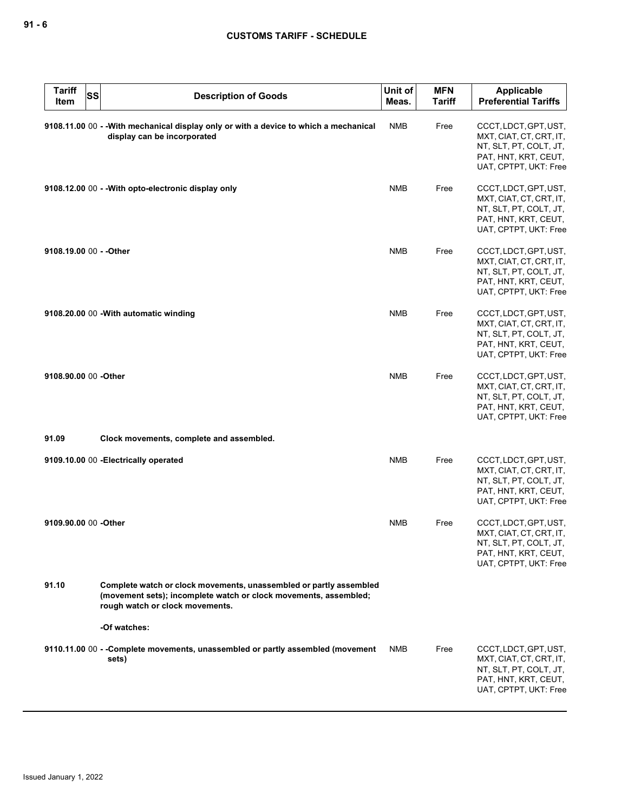| <b>Tariff</b><br><b>SS</b><br>Item | <b>Description of Goods</b>                                                                                                                                               | Unit of<br>Meas. | <b>MFN</b><br><b>Tariff</b> | Applicable<br><b>Preferential Tariffs</b>                                                                                   |
|------------------------------------|---------------------------------------------------------------------------------------------------------------------------------------------------------------------------|------------------|-----------------------------|-----------------------------------------------------------------------------------------------------------------------------|
|                                    | 9108.11.00 00 - - With mechanical display only or with a device to which a mechanical<br>display can be incorporated                                                      | <b>NMB</b>       | Free                        | CCCT, LDCT, GPT, UST,<br>MXT, CIAT, CT, CRT, IT,<br>NT, SLT, PT, COLT, JT,<br>PAT, HNT, KRT, CEUT,<br>UAT, CPTPT, UKT: Free |
|                                    | 9108.12.00 00 - - With opto-electronic display only                                                                                                                       | <b>NMB</b>       | Free                        | CCCT, LDCT, GPT, UST,<br>MXT, CIAT, CT, CRT, IT,<br>NT, SLT, PT, COLT, JT,<br>PAT, HNT, KRT, CEUT,<br>UAT, CPTPT, UKT: Free |
| 9108.19.00 00 - - Other            |                                                                                                                                                                           | <b>NMB</b>       | Free                        | CCCT, LDCT, GPT, UST,<br>MXT, CIAT, CT, CRT, IT,<br>NT, SLT, PT, COLT, JT,<br>PAT, HNT, KRT, CEUT,<br>UAT, CPTPT, UKT: Free |
|                                    | 9108.20.00 00 - With automatic winding                                                                                                                                    | <b>NMB</b>       | Free                        | CCCT, LDCT, GPT, UST,<br>MXT, CIAT, CT, CRT, IT,<br>NT, SLT, PT, COLT, JT,<br>PAT, HNT, KRT, CEUT,<br>UAT, CPTPT, UKT: Free |
| 9108.90.00 00 -Other               |                                                                                                                                                                           | <b>NMB</b>       | Free                        | CCCT, LDCT, GPT, UST,<br>MXT, CIAT, CT, CRT, IT,<br>NT, SLT, PT, COLT, JT,<br>PAT, HNT, KRT, CEUT,<br>UAT, CPTPT, UKT: Free |
| 91.09                              | Clock movements, complete and assembled.                                                                                                                                  |                  |                             |                                                                                                                             |
|                                    | 9109.10.00 00 - Electrically operated                                                                                                                                     | <b>NMB</b>       | Free                        | CCCT, LDCT, GPT, UST,<br>MXT, CIAT, CT, CRT, IT,<br>NT, SLT, PT, COLT, JT,<br>PAT, HNT, KRT, CEUT,<br>UAT, CPTPT, UKT: Free |
| 9109.90.00 00 - Other              |                                                                                                                                                                           | <b>NMB</b>       | Free                        | CCCT, LDCT, GPT, UST,<br>MXT, CIAT, CT, CRT, IT,<br>NT, SLT, PT, COLT, JT,<br>PAT, HNT, KRT, CEUT,<br>UAT, CPTPT, UKT: Free |
| 91.10                              | Complete watch or clock movements, unassembled or partly assembled<br>(movement sets); incomplete watch or clock movements, assembled;<br>rough watch or clock movements. |                  |                             |                                                                                                                             |
|                                    | -Of watches:                                                                                                                                                              |                  |                             |                                                                                                                             |
|                                    | 9110.11.00 00 - -Complete movements, unassembled or partly assembled (movement<br>sets)                                                                                   | NMB              | Free                        | CCCT, LDCT, GPT, UST,<br>MXT, CIAT, CT, CRT, IT,<br>NT, SLT, PT, COLT, JT,<br>PAT, HNT, KRT, CEUT,<br>UAT, CPTPT, UKT: Free |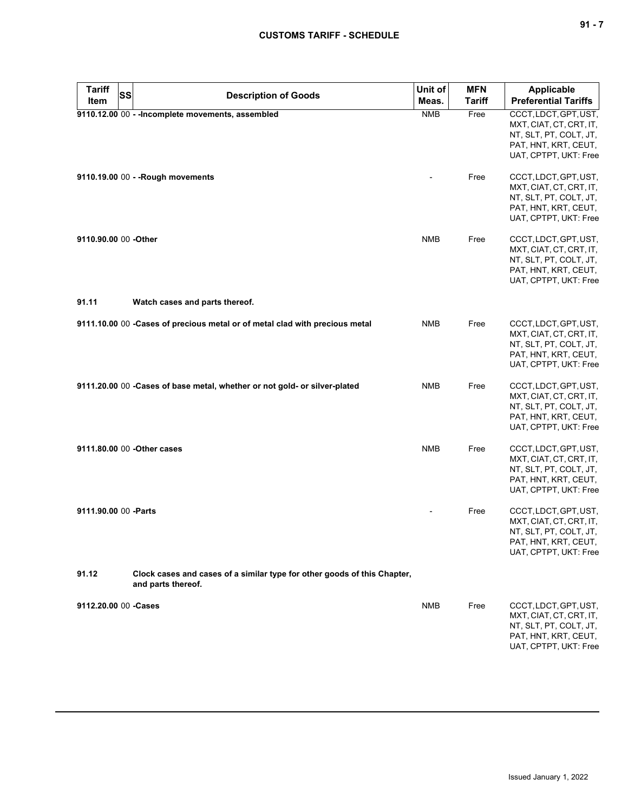| <b>Tariff</b><br>Item | SS<br><b>Description of Goods</b>                                                              | Unit of<br>Meas. | <b>MFN</b><br><b>Tariff</b> | <b>Applicable</b><br><b>Preferential Tariffs</b>                                                                            |
|-----------------------|------------------------------------------------------------------------------------------------|------------------|-----------------------------|-----------------------------------------------------------------------------------------------------------------------------|
|                       | 9110.12.00 00 - - Incomplete movements, assembled                                              | <b>NMB</b>       | Free                        | CCCT, LDCT, GPT, UST,<br>MXT, CIAT, CT, CRT, IT,<br>NT, SLT, PT, COLT, JT,<br>PAT, HNT, KRT, CEUT,<br>UAT, CPTPT, UKT: Free |
|                       | 9110.19.00 00 - - Rough movements                                                              |                  | Free                        | CCCT, LDCT, GPT, UST,<br>MXT, CIAT, CT, CRT, IT,<br>NT, SLT, PT, COLT, JT,<br>PAT, HNT, KRT, CEUT,<br>UAT, CPTPT, UKT: Free |
| 9110.90.00 00 -Other  |                                                                                                | <b>NMB</b>       | Free                        | CCCT, LDCT, GPT, UST,<br>MXT, CIAT, CT, CRT, IT,<br>NT, SLT, PT, COLT, JT,<br>PAT, HNT, KRT, CEUT,<br>UAT, CPTPT, UKT: Free |
| 91.11                 | Watch cases and parts thereof.                                                                 |                  |                             |                                                                                                                             |
|                       | 9111.10.00 00 - Cases of precious metal or of metal clad with precious metal                   | <b>NMB</b>       | Free                        | CCCT, LDCT, GPT, UST,<br>MXT, CIAT, CT, CRT, IT,<br>NT, SLT, PT, COLT, JT,<br>PAT, HNT, KRT, CEUT,<br>UAT, CPTPT, UKT: Free |
|                       | 9111.20.00 00 - Cases of base metal, whether or not gold- or silver-plated                     | <b>NMB</b>       | Free                        | CCCT, LDCT, GPT, UST,<br>MXT, CIAT, CT, CRT, IT,<br>NT, SLT, PT, COLT, JT,<br>PAT, HNT, KRT, CEUT,<br>UAT, CPTPT, UKT: Free |
|                       | 9111.80.00 00 - Other cases                                                                    | <b>NMB</b>       | Free                        | CCCT, LDCT, GPT, UST,<br>MXT, CIAT, CT, CRT, IT,<br>NT, SLT, PT, COLT, JT,<br>PAT, HNT, KRT, CEUT,<br>UAT, CPTPT, UKT: Free |
| 9111.90.00 00 - Parts |                                                                                                |                  | Free                        | CCCT, LDCT, GPT, UST,<br>MXT, CIAT, CT, CRT, IT,<br>NT, SLT, PT, COLT, JT,<br>PAT, HNT, KRT, CEUT,<br>UAT, CPTPT, UKT: Free |
| 91.12                 | Clock cases and cases of a similar type for other goods of this Chapter,<br>and parts thereof. |                  |                             |                                                                                                                             |
| 9112.20.00 00 -Cases  |                                                                                                | <b>NMB</b>       | Free                        | CCCT, LDCT, GPT, UST,<br>MXT, CIAT, CT, CRT, IT,<br>NT, SLT, PT, COLT, JT,<br>PAT, HNT, KRT, CEUT,<br>UAT, CPTPT, UKT: Free |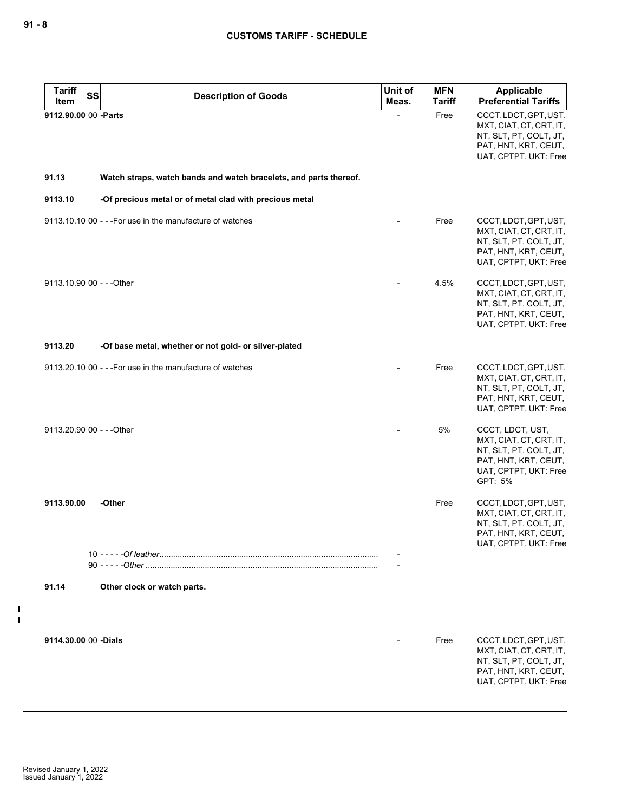| <b>Tariff</b><br><b>SS</b> |                                                                   | Unit of | <b>MFN</b>    | <b>Applicable</b>                                                                                                                 |
|----------------------------|-------------------------------------------------------------------|---------|---------------|-----------------------------------------------------------------------------------------------------------------------------------|
| Item                       | <b>Description of Goods</b>                                       | Meas.   | <b>Tariff</b> | <b>Preferential Tariffs</b>                                                                                                       |
| 9112.90.00 00 -Parts       |                                                                   |         | Free          | CCCT, LDCT, GPT, UST,<br>MXT, CIAT, CT, CRT, IT,<br>NT, SLT, PT, COLT, JT,<br>PAT, HNT, KRT, CEUT,<br>UAT, CPTPT, UKT: Free       |
| 91.13                      | Watch straps, watch bands and watch bracelets, and parts thereof. |         |               |                                                                                                                                   |
| 9113.10                    | -Of precious metal or of metal clad with precious metal           |         |               |                                                                                                                                   |
|                            | 9113.10.10 00 - - - For use in the manufacture of watches         |         | Free          | CCCT, LDCT, GPT, UST,<br>MXT, CIAT, CT, CRT, IT,<br>NT, SLT, PT, COLT, JT,<br>PAT, HNT, KRT, CEUT,<br>UAT, CPTPT, UKT: Free       |
| 9113.10.90 00 - - - Other  |                                                                   |         | 4.5%          | CCCT, LDCT, GPT, UST,<br>MXT, CIAT, CT, CRT, IT,<br>NT, SLT, PT, COLT, JT,<br>PAT, HNT, KRT, CEUT,<br>UAT, CPTPT, UKT: Free       |
| 9113.20                    | -Of base metal, whether or not gold- or silver-plated             |         |               |                                                                                                                                   |
|                            | 9113.20.10 00 - - - For use in the manufacture of watches         |         | Free          | CCCT, LDCT, GPT, UST,<br>MXT, CIAT, CT, CRT, IT,<br>NT, SLT, PT, COLT, JT,<br>PAT, HNT, KRT, CEUT,<br>UAT, CPTPT, UKT: Free       |
| 9113.20.90 00 - - - Other  |                                                                   |         | 5%            | CCCT, LDCT, UST,<br>MXT, CIAT, CT, CRT, IT,<br>NT, SLT, PT, COLT, JT,<br>PAT, HNT, KRT, CEUT,<br>UAT, CPTPT, UKT: Free<br>GPT: 5% |
| 9113.90.00                 | -Other                                                            |         | Free          | CCCT, LDCT, GPT, UST,<br>MXT, CIAT, CT, CRT, IT,<br>NT, SLT, PT, COLT, JT,<br>PAT, HNT, KRT, CEUT,<br>UAT, CPTPT, UKT: Free       |
| 91.14                      | Other clock or watch parts.                                       |         |               |                                                                                                                                   |
| 9114.30.00 00 -Dials       |                                                                   |         | Free          | CCCT, LDCT, GPT, UST,<br>MXT, CIAT, CT, CRT, IT,<br>NT, SLT, PT, COLT, JT,<br>PAT, HNT, KRT, CEUT,                                |
|                            |                                                                   |         |               | UAT, CPTPT, UKT: Free                                                                                                             |

 $\frac{1}{1}$